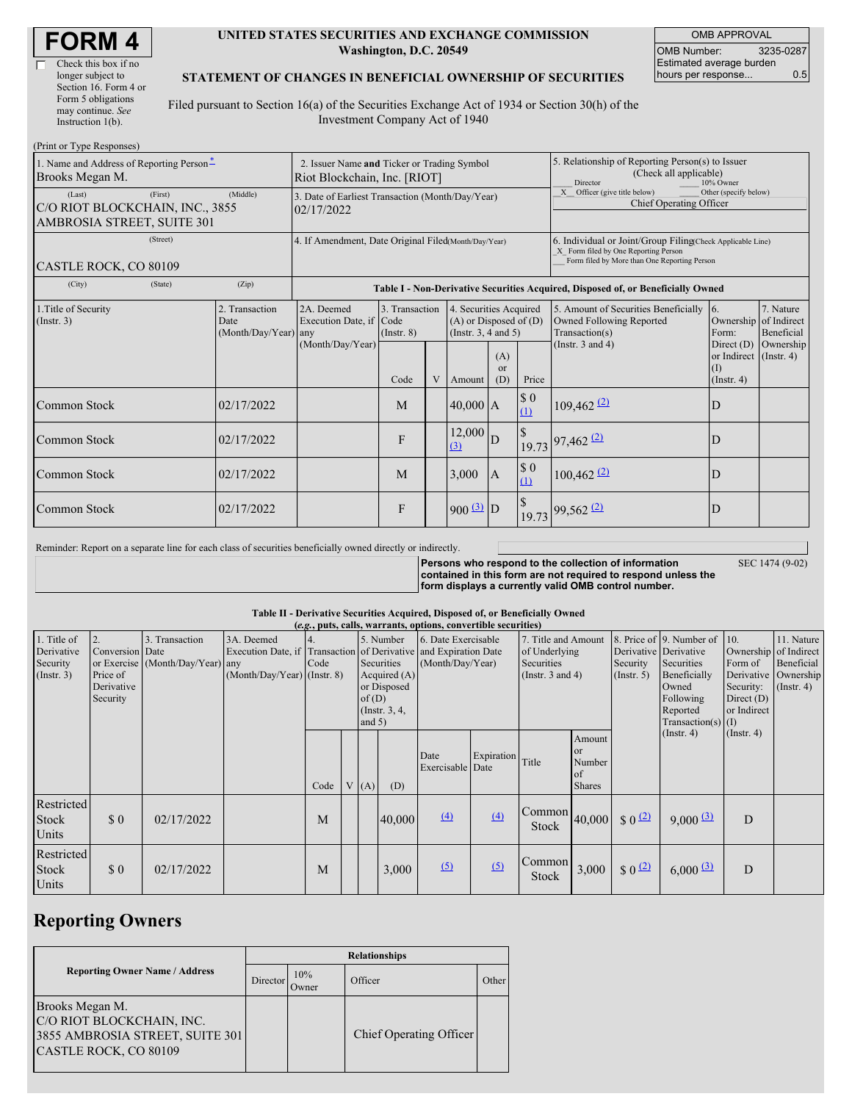г

#### **UNITED STATES SECURITIES AND EXCHANGE COMMISSION Washington, D.C. 20549**

OMB APPROVAL OMB Number: 3235-0287 Estimated average burden hours per response... 0.5

#### **STATEMENT OF CHANGES IN BENEFICIAL OWNERSHIP OF SECURITIES**

Filed pursuant to Section 16(a) of the Securities Exchange Act of 1934 or Section 30(h) of the Investment Company Act of 1940

| (Print or Type Responses)                                                          |                                                                             |                                                                                  |                                   |  |                                                                              |                          |                                                                                                     |                                                                                                                                                    |                                                                   |                         |
|------------------------------------------------------------------------------------|-----------------------------------------------------------------------------|----------------------------------------------------------------------------------|-----------------------------------|--|------------------------------------------------------------------------------|--------------------------|-----------------------------------------------------------------------------------------------------|----------------------------------------------------------------------------------------------------------------------------------------------------|-------------------------------------------------------------------|-------------------------|
| 1. Name and Address of Reporting Person <sup>*</sup><br>Brooks Megan M.            | 2. Issuer Name and Ticker or Trading Symbol<br>Riot Blockchain, Inc. [RIOT] |                                                                                  |                                   |  |                                                                              |                          | 5. Relationship of Reporting Person(s) to Issuer<br>(Check all applicable)<br>Director<br>10% Owner |                                                                                                                                                    |                                                                   |                         |
| (First)<br>(Last)<br>C/O RIOT BLOCKCHAIN, INC., 3855<br>AMBROSIA STREET, SUITE 301 | (Middle)                                                                    | 3. Date of Earliest Transaction (Month/Day/Year)<br>02/17/2022                   |                                   |  |                                                                              |                          |                                                                                                     | Other (specify below)<br>X Officer (give title below)<br>Chief Operating Officer                                                                   |                                                                   |                         |
| (Street)<br>CASTLE ROCK, CO 80109                                                  |                                                                             | 4. If Amendment, Date Original Filed Month/Day/Year)                             |                                   |  |                                                                              |                          |                                                                                                     | 6. Individual or Joint/Group Filing(Check Applicable Line)<br>X Form filed by One Reporting Person<br>Form filed by More than One Reporting Person |                                                                   |                         |
| (City)<br>(State)                                                                  | (Zip)                                                                       | Table I - Non-Derivative Securities Acquired, Disposed of, or Beneficially Owned |                                   |  |                                                                              |                          |                                                                                                     |                                                                                                                                                    |                                                                   |                         |
| 1. Title of Security<br>$($ Instr. 3 $)$                                           | 2. Transaction<br>Date<br>(Month/Day/Year) any                              | 2A. Deemed<br>Execution Date, if Code<br>(Month/Day/Year)                        | 3. Transaction<br>$($ Instr. $8)$ |  | 4. Securities Acquired<br>$(A)$ or Disposed of $(D)$<br>(Insert. 3, 4 and 5) |                          |                                                                                                     | 5. Amount of Securities Beneficially<br>Owned Following Reported<br>Transaction(s)                                                                 | 16.<br>Ownership of Indirect<br>Form:                             | 7. Nature<br>Beneficial |
|                                                                                    |                                                                             |                                                                                  | Code                              |  | Amount                                                                       | (A)<br>$\alpha$ r<br>(D) | Price                                                                                               | (Instr. $3$ and $4$ )                                                                                                                              | Direct $(D)$<br>or Indirect (Instr. 4)<br>(I)<br>$($ Instr. 4 $)$ | Ownership               |
| Common Stock                                                                       | 02/17/2022                                                                  |                                                                                  | M                                 |  | $40,000$ A                                                                   |                          | $\$$ 0<br>(1)                                                                                       | $109,462$ <sup>(2)</sup>                                                                                                                           | D                                                                 |                         |
| Common Stock                                                                       | 02/17/2022                                                                  |                                                                                  | F                                 |  | 12,000<br>(3)                                                                | D                        | $\mathbb{S}$                                                                                        | $19.73$ $97,462$ $(2)$                                                                                                                             | D                                                                 |                         |
| Common Stock                                                                       | 02/17/2022                                                                  |                                                                                  | M                                 |  | 3,000                                                                        | $\overline{A}$           | $\$$ 0<br>(1)                                                                                       | $100,462$ <sup>(2)</sup>                                                                                                                           | D                                                                 |                         |
| <b>Common Stock</b>                                                                | 02/17/2022                                                                  |                                                                                  | F                                 |  | $900 \frac{3}{2}$ D                                                          |                          |                                                                                                     | $19.73$ 99,562 (2)                                                                                                                                 | D                                                                 |                         |

Reminder: Report on a separate line for each class of securities beneficially owned directly or indirectly.

**Persons who respond to the collection of information contained in this form are not required to respond unless the form displays a currently valid OMB control number.**

SEC 1474 (9-02)

**Table II - Derivative Securities Acquired, Disposed of, or Beneficially Owned**

| (e.g., puts, calls, warrants, options, convertible securities) |                                                             |                                                    |                                             |                                                                                                                                                                              |  |                                         |        |                                                                        |                  |                                                                         |                                                                                                                      |                                                                                                      |                                              |                  |  |
|----------------------------------------------------------------|-------------------------------------------------------------|----------------------------------------------------|---------------------------------------------|------------------------------------------------------------------------------------------------------------------------------------------------------------------------------|--|-----------------------------------------|--------|------------------------------------------------------------------------|------------------|-------------------------------------------------------------------------|----------------------------------------------------------------------------------------------------------------------|------------------------------------------------------------------------------------------------------|----------------------------------------------|------------------|--|
| 1. Title of<br>Derivative<br>Security<br>(Insert. 3)           | 2.<br>Conversion Date<br>Price of<br>Derivative<br>Security | 3. Transaction<br>or Exercise (Month/Day/Year) any | 3A. Deemed<br>$(Month/Day/Year)$ (Instr. 8) | 5. Number<br>Execution Date, if Transaction of Derivative and Expiration Date<br>Code<br>Securities<br>Acquired $(A)$<br>or Disposed<br>of(D)<br>(Instr. $3, 4,$<br>and $5)$ |  | 6. Date Exercisable<br>(Month/Day/Year) |        | 7. Title and Amount<br>of Underlying<br>Securities<br>(Instr. 3 and 4) |                  | Derivative Derivative<br>Security<br>$($ Instr. 5 $)$                   | 8. Price of 9. Number of 10.<br>Securities<br>Beneficially<br>Owned<br>Following<br>Reported<br>$Transaction(s)$ (I) | Ownership of Indirect<br>Form of<br>Derivative Ownership<br>Security:<br>Direct $(D)$<br>or Indirect | 11. Nature<br>Beneficial<br>$($ Instr. 4 $)$ |                  |  |
|                                                                |                                                             |                                                    |                                             | Code                                                                                                                                                                         |  | (A)                                     | (D)    | Date<br>Exercisable Date                                               | Expiration Title |                                                                         | Amount<br>or<br>Number<br>of<br><b>Shares</b>                                                                        |                                                                                                      | $($ Instr. 4 $)$                             | $($ Instr. 4 $)$ |  |
| Restricted<br><b>Stock</b><br>Units                            | $\Omega$                                                    | 02/17/2022                                         |                                             | M                                                                                                                                                                            |  |                                         | 40,000 | $\Delta$                                                               | (4)              | $\begin{bmatrix} \text{Common} \\ 40,000 \end{bmatrix}$<br><b>Stock</b> |                                                                                                                      | $$0^{(2)}$$                                                                                          | $9,000$ (3)                                  | D                |  |
| Restricted<br><b>Stock</b><br>Units                            | $\sqrt{3}0$                                                 | 02/17/2022                                         |                                             | M                                                                                                                                                                            |  |                                         | 3,000  | $\Omega$                                                               | (5)              | <b>Common</b><br>Stock                                                  | 3,000                                                                                                                | $$0^{\frac{2}{2}}$$                                                                                  | $6,000 \, 3$                                 | D                |  |

## **Reporting Owners**

|                                                                                                          | <b>Relationships</b> |               |                         |       |  |  |  |  |
|----------------------------------------------------------------------------------------------------------|----------------------|---------------|-------------------------|-------|--|--|--|--|
| <b>Reporting Owner Name / Address</b>                                                                    | Director             | 10%<br>Owner) | Officer                 | Other |  |  |  |  |
| Brooks Megan M.<br>C/O RIOT BLOCKCHAIN, INC.<br>3855 AMBROSIA STREET, SUITE 301<br>CASTLE ROCK, CO 80109 |                      |               | Chief Operating Officer |       |  |  |  |  |